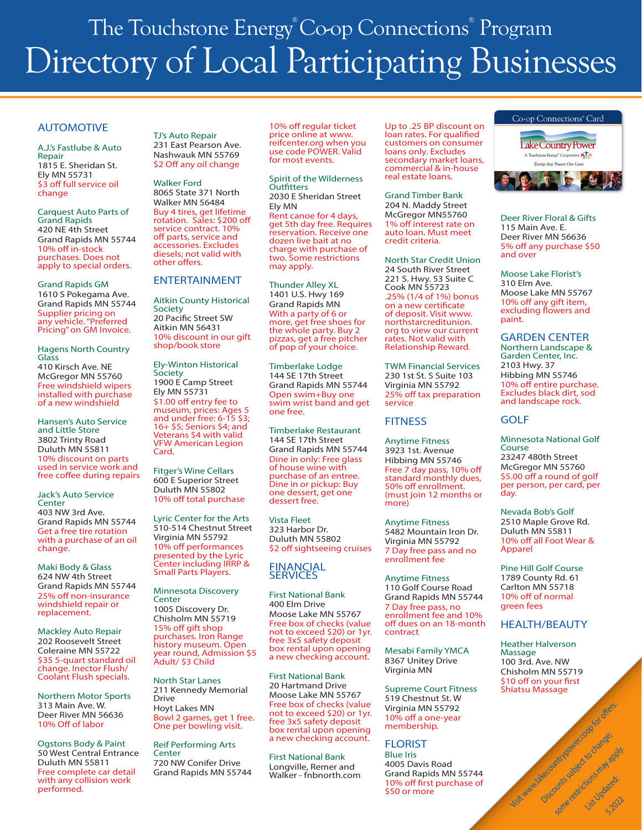# The Touchstone Energy® Co-op Connections® Program Directory of Local Participating Businesses

## AUTOMOTIVE

A.J.'s Fastlube & Auto Repair 1815 E. Sheridan St. Ely MN 55731 \$3 off full service oil change

Carquest Auto Parts of Grand Rapids 420 NE 4th Street Grand Rapids MN 55744 10% off in-stock purchases. Does not apply to special orders.

Grand Rapids GM 1610 S Pokegama Ave. Grand Rapids MN 55744 Supplier pricing on any vehicle. "Preferred Pricing" on GM Invoice.

Hagens North Country Glass 410 Kirsch Ave. NE McGregor MN 55760 Free windshield wipers installed with purchase of a new windshield

Hansen's Auto Service and Little Store 3802 Trinty Road Duluth MN 55811 10% discount on parts used in service work and free coffee during repairs

Jack's Auto Service **Center** 403 NW 3rd Ave. Grand Rapids MN 55744 Get a free tire rotation with a purchase of an oil change.

Maki Body & Glass 624 NW 4th Street Grand Rapids MN 55744 25% off non-insurance windshield repair or replacement.

Mackley Auto Repair 202 Roosevelt Street Coleraine MN 55722 \$35 5-quart standard oil change. Inector Flush/ Coolant Flush specials.

Northern Motor Sports 313 Main Ave. W. Deer River MN 56636 10% Off of labor

Ogstons Body & Paint 50 West Central Entrance Duluth MN 55811 Free complete car detail with any collision work performed.

TJ's Auto Repair 231 East Pearson Ave. Nashwauk MN 55769 \$2 Off any oil change

Walker Ford 8065 State 371 North Walker MN 56484 Buy 4 tires, get lifetime rotation. Sales: \$200 off service contract. 10% off parts, service and accessories. Excludes diesels; not valid with other offers.

## ENTERTAINMENT

Aitkin County Historical Society 20 Pacific Street SW Aitkin MN 56431 10% discount in our gift shop/book store

Ely-Winton Historical **Society** 1900 E Camp Street Ely MN 55731 \$1.00 off entry fee to museum, prices: Ages 5 and under free: 6-15 \$3; 16+ \$5; Seniors \$4; and Veterans \$4 with valid VFW American Legion Card.

Fitger's Wine Cellars 600 E Superior Street Duluth MN 55802 10% off total purchase

Lyric Center for the Arts 510-514 Chestnut Street Virginia MN 55792 10% off performances presented by the Lyric Center including IRRP & Small Parts Players.

Minnesota Discovery **Center** 1005 Discovery Dr. Chisholm MN 55719 15% off gift shop purchases. Iron Range history museum. Open year round, Admission \$5 Adult/ \$3 Child

North Star Lanes 211 Kennedy Memorial Drive Hoyt Lakes MN Bowl 2 games, get 1 free. One per bowling visit.

Reif Performing Arts Center 720 NW Conifer Drive Grand Rapids MN 55744 10% off regular ticket price online at www. reifcenter.org when you use code POWER. Valid for most events.

Spirit of the Wilderness **Outfitters** 2030 E Sheridan Street Ely MN Rent canoe for 4 days, get 5th day free. Requires reservation. Receive one dozen live bait at no charge with purchase of two. Some restrictions may apply.

Thunder Alley XL 1401 U.S. Hwy 169 Grand Rapids MN With a party of 6 or more, get free shoes for the whole party. Buy 2 pizzas, get a free pitcher of pop of your choice.

Timberlake Lodge 144 SE 17th Street Grand Rapids MN 55744 Open swim+Buy one swim wrist band and get one free.

Timberlake Restaurant 144 SE 17th Street Grand Rapids MN 55744 Dine in only: Free glass of house wine with purchase of an entree. Dine in or pickup: Buy one dessert, get one dessert free.

Vista Fleet 323 Harbor Dr. Duluth MN 55802 \$2 off sightseeing cruises

#### FINANCIAL **SERVICES**

First National Bank 400 Elm Drive Moose Lake MN 55767 Free box of checks (value not to exceed \$20) or 1yr. free 3x5 safety deposit box rental upon opening a new checking account.

First National Bank 20 Hartmand Drive Moose Lake MN 55767 Free box of checks (value not to exceed \$20) or 1yr. free 3x5 safety deposit box rental upon opening a new checking account.

First National Bank Longville, Remer and Walker - fnbnorth.com Up to .25 BP discount on loan rates. For qualified customers on consumer loans only. Excludes secondary market loans, commercial & in-house real estate loans.

Grand Timber Bank 204 N. Maddy Street McGregor MN55760 1% off interest rate on auto loan. Must meet credit criteria.

North Star Credit Union 24 South River Street 221 S. Hwy. 53 Suite C Cook MN 55723 .25% (1/4 of 1%) bonus on a new certificate of deposit. Visit www. northstarcreditunion. org to view our current rates. Not valid with Relationship Reward.

TWM Financial Services 230 1st St. S Suite 103 Virginia MN 55792 25% off tax preparation service

# **FITNESS**

Anytime Fitness 3923 1st. Avenue Hibbing MN 55746 Free 7 day pass, 10% off standard monthly dues, 50% off enrollment. (must join 12 months or more)

Anytime Fitness 5482 Mountain Iron Dr. Virginia MN 55792 7 Day free pass and no enrollment fee

Anytime Fitness 110 Golf Course Road Grand Rapids MN 55744 7 Day free pass, no enrollment fee and 10% off dues on an 18-month contract

Mesabi Family YMCA 8367 Unitey Drive Virginia MN

Supreme Court Fitness 519 Chestnut St. W Virginia MN 55792 10% off a one-year membership.

# FLORIST

Blue Iris 4005 Davis Road Grand Rapids MN 55744 10% off first purchase of \$50 or more



Deer River Floral & Gifts 115 Main Ave. E. Deer River MN 56636 5% off any purchase \$50 and over

Moose Lake Florist's 310 Elm Ave. Moose Lake MN 55767 10% off any gift item, excluding flowers and paint.

GARDEN CENTER

Northern Landscape & Garden Center, Inc. 2103 Hwy. 37 Hibbing MN 55746 10% off entire purchase. Excludes black dirt, sod and landscape rock.

## GOLF

Minnesota National Golf Course 23247 480th Street McGregor MN 55760 \$5.00 off a round of golf per person, per card, per day.

Nevada Bob's Golf 2510 Maple Grove Rd. Duluth MN 55811 10% off all Foot Wear & Apparel

Pine Hill Golf Course 1789 County Rd. 61 Carlton MN 55718 10% off of normal green fees

# HEALTH/BEAUTY

Heather Halverson Massage 100 3rd. Ave. NW Chisholm MN 55719 \$10 off on your first<br>Shiatsu Massage Shiatsu Massage

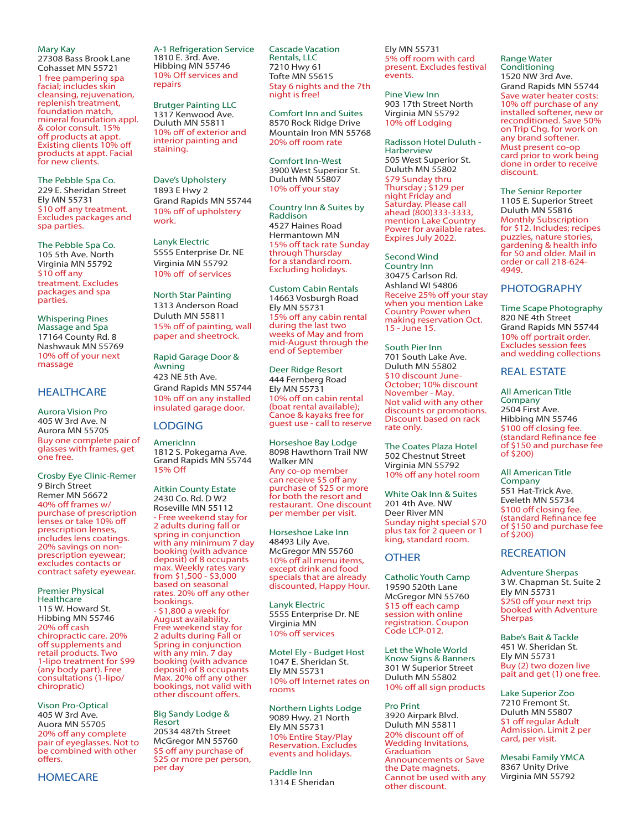Mary Kay

27308 Bass Brook Lane Cohasset MN 55721 1 free pampering spa facial; includes skin cleansing, rejuvenation, replenish treatment, foundation match. mineral foundation appl. & color consult. 15% off products at appt. Existing clients 10% off products at appt. Facial for new clients.

The Pebble Spa Co. 229 E. Sheridan Street Ely MN 55731 \$10 off any treatment. Excludes packages and spa parties.

The Pebble Spa Co. 105 5th Ave. North Virginia MN 55792 \$10 off any treatment. Excludes packages and spa parties.

Whispering Pines Massage and Spa 17164 County Rd. 8 Nashwauk MN 55769 10% off of your next massage

## **HEALTHCARE**

Aurora Vision Pro 405 W 3rd Ave. N Aurora MN 55705 Buy one complete pair of glasses with frames, get one free.

Crosby Eye Clinic-Remer 9 Birch Street Remer MN 56672 40% off frames w/ purchase of prescription lenses or take 10% off prescription lenses, includes lens coatings. 20% savings on nonprescription eyewear; excludes contacts or contract safety eyewear.

Premier Physical **Healthcare** 115 W. Howard St. Hibbing MN 55746 20% off cash chiropractic care. 20% off supplements and retail products. Two 1-lipo treatment for \$99 (any body part). Free consultations (1-lipo/ chiropratic)

Vison Pro-Optical 405 W 3rd Ave. Auora MN 55705 20% off any complete pair of eyeglasses. Not to be combined with other offers.

**HOMECARE** 

A-1 Refrigeration Service 1810 E. 3rd. Ave. Hibbing MN 55746 10% Off services and repairs

Brutger Painting LLC 1317 Kenwood Ave. Duluth MN 55811 10% off of exterior and interior painting and staining.

Dave's Upholstery 1893 E Hwy 2 Grand Rapids MN 55744 10% off of upholstery work.

Lanyk Electric 5555 Enterprise Dr. NE Virginia MN 55792 10% off of services

North Star Painting 1313 Anderson Road Duluth MN 55811 15% off of painting, wall paper and sheetrock.

Rapid Garage Door & Awning 423 NE 5th Ave. Grand Rapids MN 55744 10% off on any installed insulated garage door.

#### LODGING

AmericInn 1812 S. Pokegama Ave. Grand Rapids MN 55744 15% Off

Aitkin County Estate 2430 Co. Rd. D W2 Roseville MN 55112 - Free weekend stay for 2 adults during fall or spring in conjunction with any minimum 7 day booking (with advance deposit) of 8 occupants max. Weekly rates vary from \$1,500 - \$3,000 based on seasonal rates. 20% off any other bookings. - \$1,800 a week for August availability. Free weekend stay for 2 adults during Fall or Spring in conjunction with any min. 7 day booking (with advance deposit) of 8 occupants Max. 20% off any other bookings, not valid with other discount offers.

Big Sandy Lodge & Resort 20534 487th Street McGregor MN 55760 \$5 off any purchase of \$25 or more per person, per day

Cascade Vacation Rentals, LLC 7210 Hwy 61 Tofte MN 55615 Stay 6 nights and the 7th night is free!

Comfort Inn and Suites 8570 Rock Ridge Drive Mountain Iron MN 55768 20% off room rate

Comfort Inn-West 3900 West Superior St. Duluth MN 55807 10% off your stay

Country Inn & Suites by Raddison 4527 Haines Road Hermantown MN 15% off tack rate Sunday through Thursday for a standard room. Excluding holidays.

Custom Cabin Rentals 14663 Vosburgh Road Ely MN 55731 15% off any cabin rental during the last two weeks of May and from mid-August through the end of September

Deer Ridge Resort 444 Fernberg Road Ely MN 55731 10% off on cabin rental (boat rental available); Canoe & kayaks free for guest use - call to reserve

Horseshoe Bay Lodge 8098 Hawthorn Trail NW Walker MN Any co-op member can receive \$5 off any purchase of \$25 or more for both the resort and restaurant. One discount per member per visit.

Horseshoe Lake Inn 48493 Lily Ave. McGregor MN 55760 10% off all menu items, except drink and food specials that are already discounted, Happy Hour.

Lanyk Electric 5555 Enterprise Dr. NE Virginia MN 10% off services

Motel Ely - Budget Host 1047 E. Sheridan St. Ely MN 55731 10% off Internet rates on rooms

Northern Lights Lodge 9089 Hwy. 21 North Ely MN 55731 10% Entire Stay/Play Reservation. Excludes events and holidays.

Paddle Inn 1314 E Sheridan Ely MN 55731 5% off room with card present. Excludes festival events.

Pine View Inn 903 17th Street North Virginia MN 55792 10% off Lodging

Radisson Hotel Duluth - Harberview 505 West Superior St. Duluth MN 55802 \$79 Sunday thru Thursday ; \$129 per night Friday and Saturday. Please call ahead (800)333-3333, mention Lake Country Power for available rates. Expires July 2022.

Second Wind Country Inn 30475 Carlson Rd. Ashland WI 54806 Receive 25% off your stay when you mention Lake Country Power when making reservation Oct. 15 - June 15.

South Pier Inn 701 South Lake Ave. Duluth MN 55802 \$10 discount June-October; 10% discount November - May. Not valid with any other discounts or promotions. Discount based on rack rate only.

The Coates Plaza Hotel 502 Chestnut Street Virginia MN 55792 10% off any hotel room

White Oak Inn & Suites 201 4th Ave. NW Deer River MN Sunday night special \$70 plus tax for 2 queen or 1 king, standard room.

### **OTHER**

Catholic Youth Camp 19590 520th Lane McGregor MN 55760 \$15 off each camp session with online registration. Coupon Code LCP-012.

Let the Whole World Know Signs & Banners 301 W Superior Street Duluth MN 55802 10% off all sign products

Pro Print 3920 Airpark Blvd. Duluth MN 55811 20% discount off of Wedding Invitations, **Graduation** Announcements or Save the Date magnets. Cannot be used with any other discount.

Range Water Conditioning 1520 NW 3rd Ave. Grand Rapids MN 55744

Save water heater costs: 10% off purchase of any installed softener, new or reconditioned. Save 50% on Trip Chg. for work on any brand softener. Must present co-op card prior to work being done in order to receive discount.

The Senior Reporter 1105 E. Superior Street Duluth MN 55816 Monthly Subscription for \$12. Includes; recipes puzzles, nature stories, gardening & health info for 50 and older. Mail in order or call 218-624- 4949.

## PHOTOGRAPHY

Time Scape Photography 820 NE 4th Street Grand Rapids MN 55744 10% off portrait order. Excludes session fees and wedding collections

#### REAL ESTATE

All American Title Company 2504 First Ave. Hibbing MN 55746 \$100 off closing fee. (standard Refinance fee of \$150 and purchase fee of \$200)

All American Title Company 551 Hat-Trick Ave. Eveleth MN 55734 \$100 off closing fee. (standard Refinance fee of \$150 and purchase fee of \$200)

#### **RECREATION**

Adventure Sherpas 3 W. Chapman St. Suite 2 Ely MN 55731 \$250 off your next trip booked with Adventure Sherpas

Babe's Bait & Tackle 451 W. Sheridan St. Ely MN 55731 Buy (2) two dozen live pait and get (1) one free.

Lake Superior Zoo 7210 Fremont St. Duluth MN 55807 \$1 off regular Adult Admission. Limit 2 per card, per visit.

Mesabi Family YMCA 8367 Unity Drive Virginia MN 55792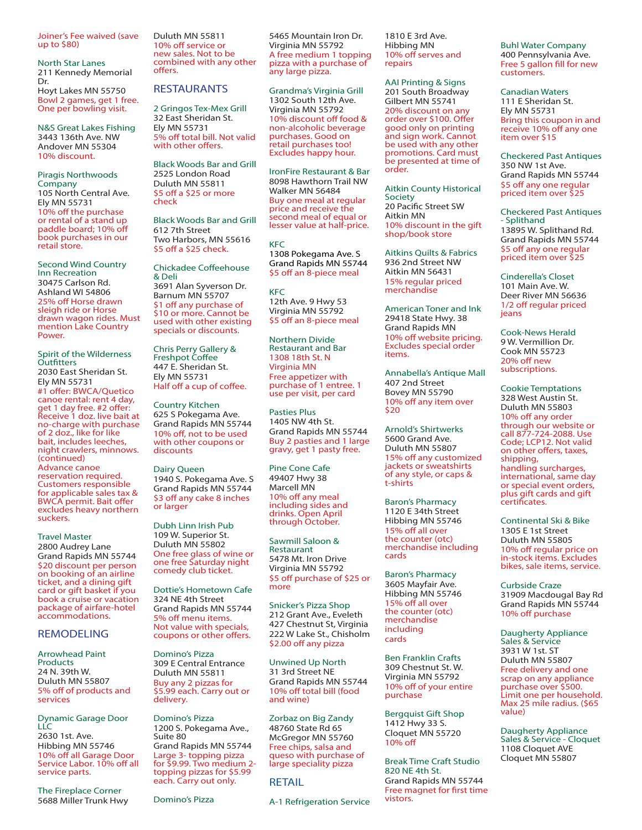Joiner's Fee waived (save up to \$80)

North Star Lanes 211 Kennedy Memorial Dr. Hoyt Lakes MN 55750 Bowl 2 games, get 1 free. One per bowling visit.

N&S Great Lakes Fishing 3443 136th Ave. NW Andover MN 55304 10% discount.

Piragis Northwoods Company 105 North Central Ave. Ely MN 55731 10% off the purchase or rental of a stand up paddle board; 10% off book purchases in our retail store.

Second Wind Country Inn Recreation 30475 Carlson Rd. Ashland WI 54806 25% off Horse drawn sleigh ride or Horse drawn wagon rides. Must mention Lake Country Power.

Spirit of the Wilderness **Outfitters** 2030 East Sheridan St. Ely MN 55731 #1 offer: BWCA/Quetico canoe rental: rent 4 day, get 1 day free. #2 offer: Receive 1 doz. live bait at no-charge with purchase of 2 doz., like for like bait, includes leeches, night crawlers, minnows. (continued) Advance canoe reservation required. Customers responsible for applicable sales tax & BWCA permit. Bait offer excludes heavy northern suckers.

Travel Master 2800 Audrey Lane Grand Rapids MN 55744 \$20 discount per person on booking of an airline ticket, and a dining gift card or gift basket if you book a cruise or vacation package of airfare-hotel accommodations.

### REMODELING

Arrowhead Paint Products 24 N. 39th W. Duluth MN 55807 5% off of products and services

Dynamic Garage Door LLC 2630 1st. Ave. Hibbing MN 55746 10% off all Garage Door Service Labor. 10% off all service parts.

The Fireplace Corner 5688 Miller Trunk Hwy Duluth MN 55811 10% off service or new sales. Not to be combined with any other offers.

#### RESTAURANTS

2 Gringos Tex-Mex Grill 32 East Sheridan St. Ely MN 55731 5% off total bill. Not valid with other offers.

Black Woods Bar and Grill 2525 London Road Duluth MN 55811 \$5 off a \$25 or more check

Black Woods Bar and Grill 612 7th Street Two Harbors, MN 55616 \$5 off a \$25 check.

Chickadee Coffeehouse & Deli 3691 Alan Syverson Dr. Barnum MN 55707 \$1 off any purchase of \$10 or more. Cannot be used with other existing specials or discounts.

Chris Perry Gallery & Freshpot Coffee 447 E. Sheridan St. Ely MN 55731 Half off a cup of coffee.

Country Kitchen 625 S Pokegama Ave. Grand Rapids MN 55744 10% off, not to be used with other coupons or discounts

Dairy Queen 1940 S. Pokegama Ave. S Grand Rapids MN 55744 \$3 off any cake 8 inches or larger

Dubh Linn Irish Pub 109 W. Superior St. Duluth MN 55802 One free glass of wine or one free Saturday night comedy club ticket.

Dottie's Hometown Cafe 324 NE 4th Street Grand Rapids MN 55744 5% off menu items. Not value with specials, coupons or other offers.

Domino's Pizza 309 E Central Entrance Duluth MN 55811 Buy any 2 pizzas for \$5.99 each. Carry out or delivery.

Domino's Pizza 1200 S. Pokegama Ave., Suite 80 Grand Rapids MN 55744 Large 3- topping pizza for \$9.99. Two medium 2 topping pizzas for \$5.99 each. Carry out only.

Domino's Pizza

5465 Mountain Iron Dr. Virginia MN 55792 A free medium 1 topping pizza with a purchase of any large pizza.

Grandma's Virginia Grill 1302 South 12th Ave. Virginia MN 55792 10% discount off food & non-alcoholic beverage purchases. Good on retail purchases too! Excludes happy hour.

IronFire Restaurant & Bar 8098 Hawthorn Trail NW Walker MN 56484 Buy one meal at regular price and receive the second meal of equal or lesser value at half-price.

KFC 1308 Pokegama Ave. S Grand Rapids MN 55744 \$5 off an 8-piece meal

**KFC** 12th Ave. 9 Hwy 53 Virginia MN 55792 \$5 off an 8-piece meal

Northern Divide Restaurant and Bar 1308 18th St. N Virginia MN Free appetizer with purchase of 1 entree. 1 use per visit, per card

Pasties Plus 1405 NW 4th St. Grand Rapids MN 55744 Buy 2 pasties and 1 large gravy, get 1 pasty free.

Pine Cone Cafe 49407 Hwy 38 Marcell MN 10% off any meal including sides and drinks. Open April through October.

Sawmill Saloon & Restaurant 5478 Mt. Iron Drive Virginia MN 55792 \$5 off purchase of \$25 or more

Snicker's Pizza Shop 212 Grant Ave., Eveleth 427 Chestnut St, Virginia 222 W Lake St., Chisholm \$2.00 off any pizza

Unwined Up North 31 3rd Street NE Grand Rapids MN 55744 10% off total bill (food and wine)

Zorbaz on Big Zandy 48760 State Rd 65 McGregor MN 55760 Free chips, salsa and queso with purchase of large speciality pizza

#### RETAIL

A-1 Refrigeration Service

#### 1810 E 3rd Ave. Hibbing MN 10% off serves and repairs

AAI Printing & Signs 201 South Broadway Gilbert MN 55741 20% discount on any order over \$100. Offer good only on printing and sign work. Cannot be used with any other promotions. Card must be presented at time of order.

Aitkin County Historical Society 20 Pacific Street SW Aitkin MN 10% discount in the gift shop/book store

Aitkins Quilts & Fabrics 936 2nd Street NW Aitkin MN 56431 15% regular priced merchandise

American Toner and Ink 29418 State Hwy. 38 Grand Rapids MN 10% off website pricing. Excludes special order items.

Annabella's Antique Mall 407 2nd Street Bovey MN 55790 10% off any item over \$20

Arnold's Shirtwerks 5600 Grand Ave. Duluth MN 55807 15% off any customized jackets or sweatshirts of any style, or caps & t-shirts

Baron's Pharmacy 1120 E 34th Street Hibbing MN 55746 15% off all over the counter (otc) merchandise including cards

Baron's Pharmacy 3605 Mayfair Ave. Hibbing MN 55746 15% off all over the counter (otc) merchandise including cards

Ben Franklin Crafts 309 Chestnut St. W. Virginia MN 55792 10% off of your entire purchase

Bergquist Gift Shop 1412 Hwy 33 S. Cloquet MN 55720 10% off

Break Time Craft Studio 820 NE 4th St. Grand Rapids MN 55744 Free magnet for first time vistors.

Buhl Water Company 400 Pennsylvania Ave. Free 5 gallon fill for new customers.

Canadian Waters 111 E Sheridan St. Ely MN 55731 Bring this coupon in and receive 10% off any one item over \$15

Checkered Past Antiques 350 NW 1st Ave. Grand Rapids MN 55744 \$5 off any one regular priced item over \$25

Checkered Past Antiques - Splithand 13895 W. Splithand Rd. Grand Rapids MN 55744 \$5 off any one regular priced item over \$25

Cinderella's Closet 101 Main Ave. W. Deer River MN 56636 1/2 off regular priced jeans

Cook-News Herald 9 W. Vermillion Dr. Cook MN 55723 20% off new subscriptions.

Cookie Temptations 328 West Austin St. Duluth MN 55803 10% off any order through our website or call 877-724-2088. Use Code; LCP12. Not valid on other offers, taxes, shipping, handling surcharges, international, same day or special event orders, plus gift cards and gift certificates.

Continental Ski & Bike 1305 E 1st Street Duluth MN 55805 10% off regular price on in-stock items. Excludes bikes, sale items, service.

Curbside Craze 31909 Macdougal Bay Rd Grand Rapids MN 55744 10% off purchase

Daugherty Appliance Sales & Service 3931 W 1st. ST Duluth MN 55807 Free delivery and one scrap on any appliance purchase over \$500. Limit one per household. Max 25 mile radius. (\$65 value)

Daugherty Appliance Sales & Service - Cloquet 1108 Cloquet AVE Cloquet MN 55807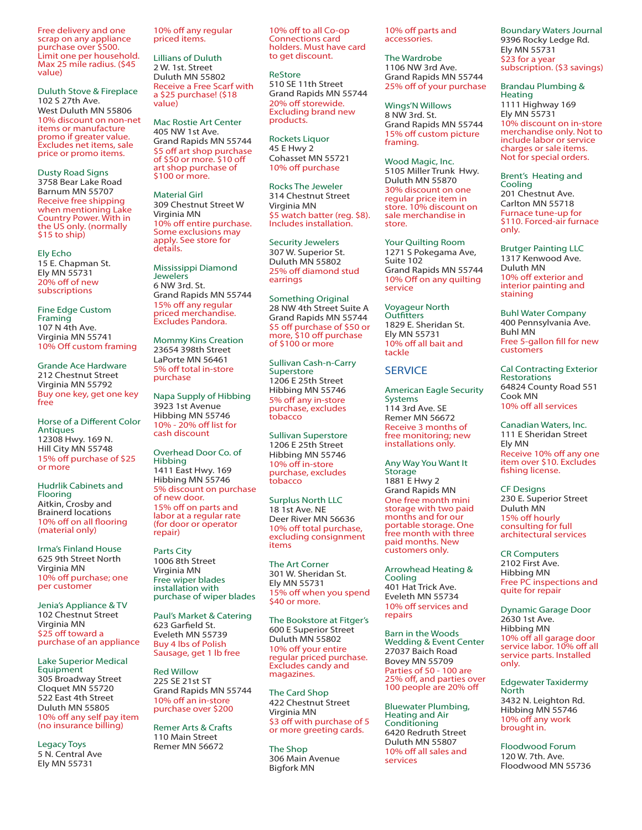Free delivery and one scrap on any appliance purchase over \$500. Limit one per household. Max 25 mile radius. (\$45 value)

Duluth Stove & Fireplace 102 S 27th Ave. West Duluth MN 55806 10% discount on non-net items or manufacture promo if greater value. Excludes net items, sale price or promo items.

Dusty Road Signs 3758 Bear Lake Road Barnum MN 55707 Receive free shipping when mentioning Lake Country Power. With in the US only. (normally \$15 to ship)

Ely Echo 15 E. Chapman St. Ely MN 55731 20% off of new subscriptions

Fine Edge Custom Framing 107 N 4th Ave. Virginia MN 55741 10% Off custom framing

Grande Ace Hardware 212 Chestnut Street Virginia MN 55792 Buy one key, get one key free

Horse of a Different Color **Antiques** 12308 Hwy. 169 N. Hill City MN 55748 15% off purchase of \$25 or more

Hudrlik Cabinets and Flooring Aitkin, Crosby and Brainerd locations 10% off on all flooring (material only)

Irma's Finland House 625 9th Street North Virginia MN 10% off purchase; one per customer

Jenia's Appliance & TV 102 Chestnut Street Virginia MN \$25 off toward a purchase of an appliance

Lake Superior Medical **Equipment** 305 Broadway Street Cloquet MN 55720 522 East 4th Street Duluth MN 55805 10% off any self pay item (no insurance billing)

Legacy Toys 5 N. Central Ave Ely MN 55731

10% off any regular priced items.

Lillians of Duluth 2 W. 1st. Street Duluth MN 55802 Receive a Free Scarf with a \$25 purchase! (\$18 value)

Mac Rostie Art Center 405 NW 1st Ave. Grand Rapids MN 55744 \$5 off art shop purchase of \$50 or more. \$10 off art shop purchase of \$100 or more.

Material Girl 309 Chestnut Street W Virginia MN 10% off entire purchase. Some exclusions may apply. See store for details.

Mississippi Diamond **Jewelers** 6 NW 3rd. St. Grand Rapids MN 55744 15% off any regular priced merchandise. Excludes Pandora.

Mommy Kins Creation 23654 398th Street LaPorte MN 56461 5% off total in-store purchase

Napa Supply of Hibbing 3923 1st Avenue Hibbing MN 55746 10% - 20% off list for cash discount

Overhead Door Co. of Hibbing 1411 East Hwy. 169 Hibbing MN 55746 5% discount on purchase of new door. 15% off on parts and labor at a regular rate (for door or operator repair)

Parts City 1006 8th Street Virginia MN Free wiper blades installation with purchase of wiper blades

Paul's Market & Catering 623 Garfield St. Eveleth MN 55739 Buy 4 lbs of Polish Sausage, get 1 lb free

Red Willow 225 SE 21st ST Grand Rapids MN 55744 10% off an in-store purchase over \$200

Remer Arts & Crafts 110 Main Street Remer MN 56672

10% off to all Co-op Connections card holders. Must have card to get discount.

ReStore 510 SE 11th Street Grand Rapids MN 55744 20% off storewide. Excluding brand new products.

Rockets Liquor 45 E Hwy 2 Cohasset MN 55721 10% off purchase

Rocks The Jeweler 314 Chestnut Street Virginia MN \$5 watch batter (reg. \$8). Includes installation.

Security Jewelers 307 W. Superior St. Duluth MN 55802 25% off diamond stud earrings

Something Original 28 NW 4th Street Suite A Grand Rapids MN 55744 \$5 off purchase of \$50 or more, \$10 off purchase of \$100 or more

Sullivan Cash-n-Carry Superstore 1206 E 25th Street Hibbing MN 55746 5% off any in-store purchase, excludes tobacco

Sullivan Superstore 1206 E 25th Street Hibbing MN 55746 10% off in-store purchase, excludes tobacco

Surplus North LLC 18 1st Ave. NE Deer River MN 56636 10% off total purchase, excluding consignment items

The Art Corner 301 W. Sheridan St. Ely MN 55731 15% off when you spend \$40 or more.

The Bookstore at Fitger's 600 E Superior Street Duluth MN 55802 10% off your entire regular priced purchase. Excludes candy and magazines.

The Card Shop 422 Chestnut Street Virginia MN \$3 off with purchase of 5 or more greeting cards.

The Shop 306 Main Avenue Bigfork MN

10% off parts and accessories.

The Wardrobe 1106 NW 3rd Ave. Grand Rapids MN 55744 25% off of your purchase

Wings'N Willows 8 NW 3rd. St. Grand Rapids MN 55744 15% off custom picture framing.

Wood Magic, Inc. 5105 Miller Trunk Hwy. Duluth MN 55870 30% discount on one regular price item in store. 10% discount on sale merchandise in store.

Your Quilting Room 1271 S Pokegama Ave, Suite 102 Grand Rapids MN 55744 10% Off on any quilting service

Voyageur North **Outfitters** 1829 E. Sheridan St. Ely MN 55731 10% off all bait and tackle

**SERVICE** 

American Eagle Security Systems 114 3rd Ave. SE Remer MN 56672 Receive 3 months of free monitoring; new installations only.

Any Way You Want It **Storage** 1881 E Hwy 2 Grand Rapids MN One free month mini storage with two paid months and for our portable storage. One free month with three paid months. New customers only.

Arrowhead Heating & Cooling 401 Hat Trick Ave. Eveleth MN 55734 10% off services and repairs

Barn in the Woods Wedding & Event Center 27037 Baich Road Bovey MN 55709 Parties of 50 - 100 are 25% off, and parties over 100 people are 20% off

Bluewater Plumbing, Heating and Air **Conditioning** 6420 Redruth Street Duluth MN 55807 10% off all sales and services

Boundary Waters Journal 9396 Rocky Ledge Rd. Ely MN 55731 \$23 for a year subscription. (\$3 savings)

Brandau Plumbing & Heating 1111 Highway 169 Ely MN 55731 10% discount on in-store merchandise only. Not to include labor or service charges or sale items. Not for special orders.

Brent's Heating and Cooling 201 Chestnut Ave. Carlton MN 55718 Furnace tune-up for \$110. Forced-air furnace only.

Brutger Painting LLC 1317 Kenwood Ave. Duluth MN 10% off exterior and interior painting and staining

Buhl Water Company 400 Pennsylvania Ave. Buhl MN Free 5-gallon fill for new customers

Cal Contracting Exterior Restorations 64824 County Road 551 Cook MN 10% off all services

Canadian Waters, Inc. 111 E Sheridan Street Ely MN Receive 10% off any one item over \$10. Excludes fishing license.

CF Designs 230 E. Superior Street Duluth MN 15% off hourly consulting for full architectural services

CR Computers 2102 First Ave. Hibbing MN Free PC inspections and quite for repair

Dynamic Garage Door 2630 1st Ave. Hibbing MN 10% off all garage door service labor. 10% off all service parts. Installed only.

Edgewater Taxidermy North 3432 N. Leighton Rd. Hibbing MN 55746 10% off any work brought in.

Floodwood Forum 120 W. 7th. Ave. Floodwood MN 55736